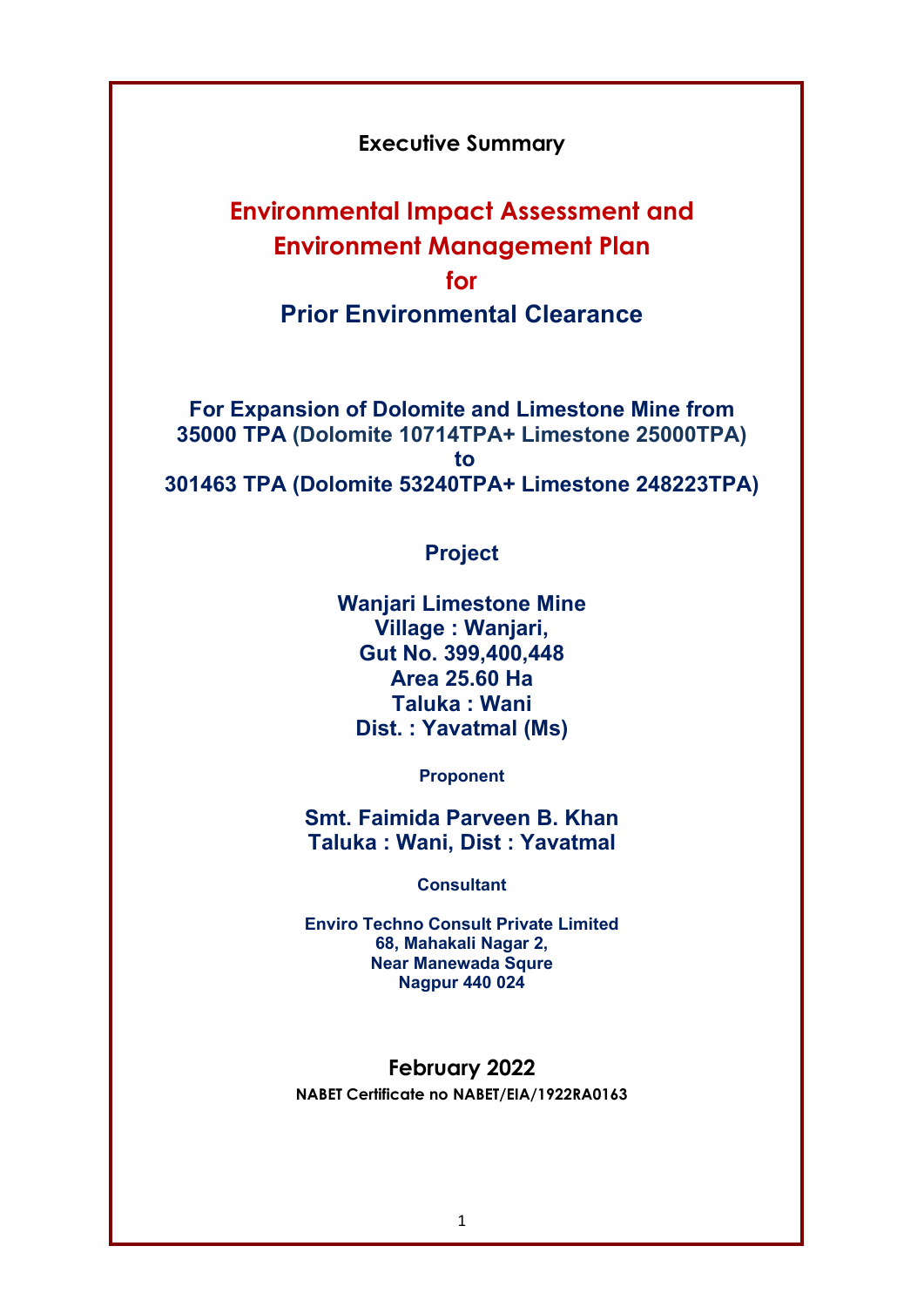## Executive Summary

# Environmental Impact Assessment and Environment Management Plan for Prior Environmental Clearance

For Expansion of Dolomite and Limestone Mine from 35000 TPA (Dolomite 10714TPA+ Limestone 25000TPA) to 301463 TPA (Dolomite 53240TPA+ Limestone 248223TPA)

# Project

Wanjari Limestone Mine Village : Wanjari, Gut No. 399,400,448 Area 25.60 Ha Taluka : Wani Dist. : Yavatmal (Ms)

Proponent

Smt. Faimida Parveen B. Khan Taluka : Wani, Dist : Yavatmal

Consultant

Enviro Techno Consult Private Limited 68, Mahakali Nagar 2, Near Manewada Squre Nagpur 440 024

#### February 2022

NABET Certificate no NABET/EIA/1922RA0163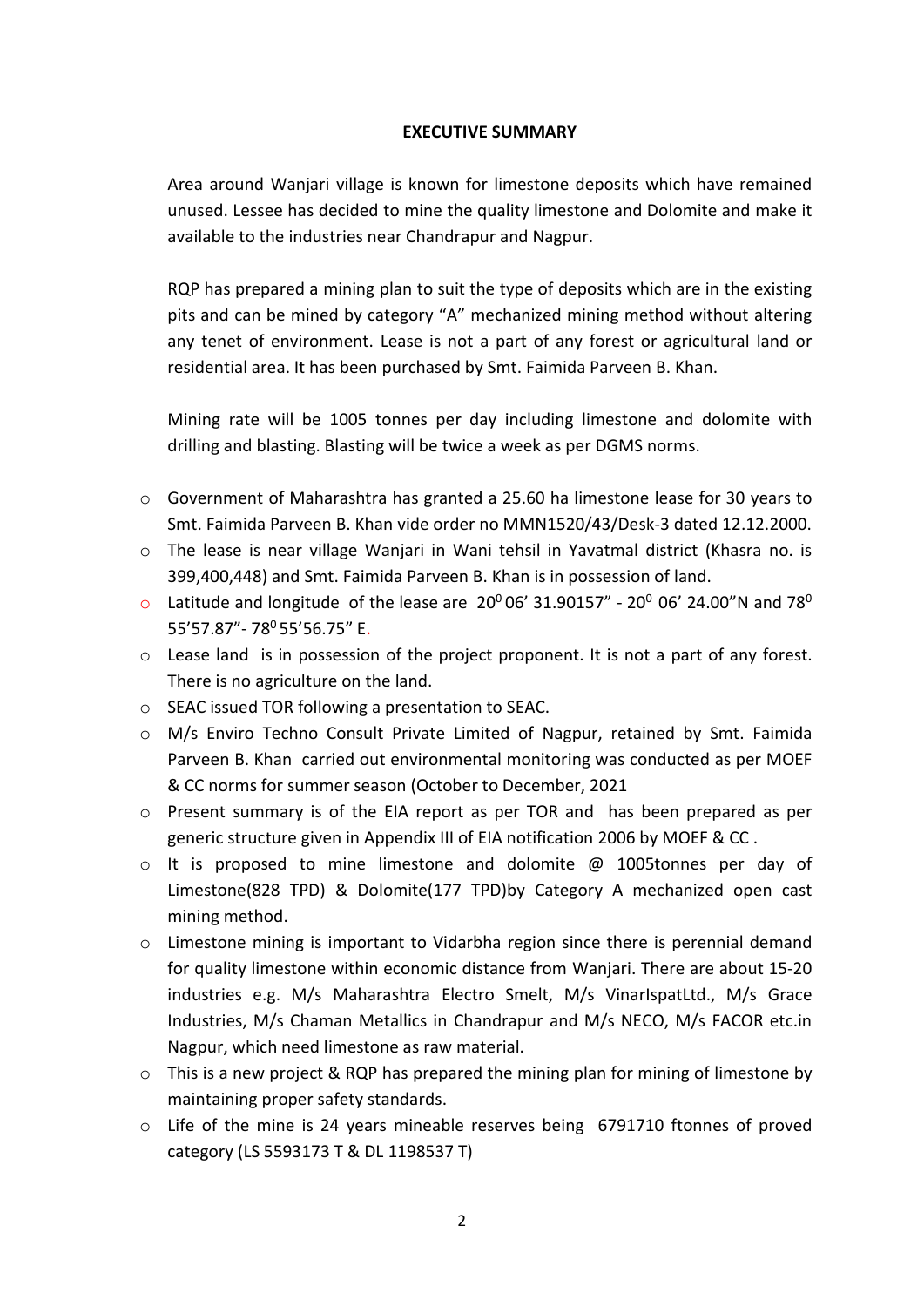#### EXECUTIVE SUMMARY

Area around Wanjari village is known for limestone deposits which have remained unused. Lessee has decided to mine the quality limestone and Dolomite and make it available to the industries near Chandrapur and Nagpur.

RQP has prepared a mining plan to suit the type of deposits which are in the existing pits and can be mined by category "A" mechanized mining method without altering any tenet of environment. Lease is not a part of any forest or agricultural land or residential area. It has been purchased by Smt. Faimida Parveen B. Khan.

Mining rate will be 1005 tonnes per day including limestone and dolomite with drilling and blasting. Blasting will be twice a week as per DGMS norms.

- o Government of Maharashtra has granted a 25.60 ha limestone lease for 30 years to Smt. Faimida Parveen B. Khan vide order no MMN1520/43/Desk-3 dated 12.12.2000.
- o The lease is near village Wanjari in Wani tehsil in Yavatmal district (Khasra no. is 399,400,448) and Smt. Faimida Parveen B. Khan is in possession of land.
- o Latitude and longitude of the lease are  $20^0 06' 31.90157'' 20^0 06' 24.00'' N$  and  $78^0$ 55'57.87" - 78<sup>0</sup> 55'56.75" E.
- o Lease land is in possession of the project proponent. It is not a part of any forest. There is no agriculture on the land.
- o SEAC issued TOR following a presentation to SEAC.
- o M/s Enviro Techno Consult Private Limited of Nagpur, retained by Smt. Faimida Parveen B. Khan carried out environmental monitoring was conducted as per MOEF & CC norms for summer season (October to December, 2021
- o Present summary is of the EIA report as per TOR and has been prepared as per generic structure given in Appendix III of EIA notification 2006 by MOEF & CC .
- $\circ$  It is proposed to mine limestone and dolomite  $\omega$  1005tonnes per day of Limestone(828 TPD) & Dolomite(177 TPD)by Category A mechanized open cast mining method.
- $\circ$  Limestone mining is important to Vidarbha region since there is perennial demand for quality limestone within economic distance from Wanjari. There are about 15-20 industries e.g. M/s Maharashtra Electro Smelt, M/s VinarIspatLtd., M/s Grace Industries, M/s Chaman Metallics in Chandrapur and M/s NECO, M/s FACOR etc.in Nagpur, which need limestone as raw material.
- $\circ$  This is a new project & RQP has prepared the mining plan for mining of limestone by maintaining proper safety standards.
- o Life of the mine is 24 years mineable reserves being 6791710 ftonnes of proved category (LS 5593173 T & DL 1198537 T)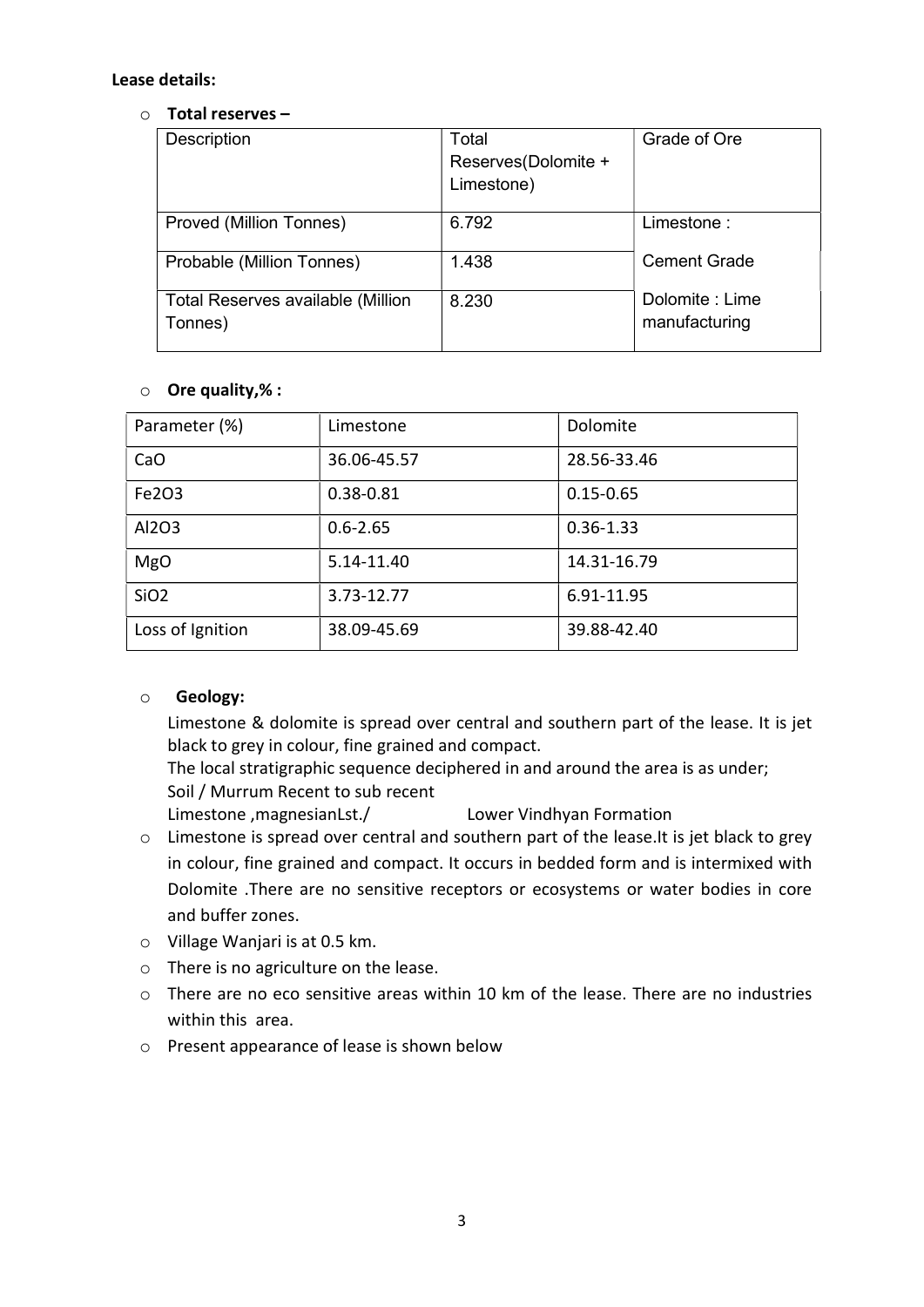#### Lease details:

#### $\circ$  Total reserves –

| Description                                  | Total<br>Reserves(Dolomite +<br>Limestone) | Grade of Ore                     |
|----------------------------------------------|--------------------------------------------|----------------------------------|
| Proved (Million Tonnes)                      | 6.792                                      | Limestone:                       |
| Probable (Million Tonnes)                    | 1.438                                      | Cement Grade                     |
| Total Reserves available (Million<br>Tonnes) | 8.230                                      | Dolomite : Lime<br>manufacturing |

## $\circ$  Ore quality,% :

| Parameter (%)    | Limestone     | Dolomite      |
|------------------|---------------|---------------|
| CaO              | 36.06-45.57   | 28.56-33.46   |
| Fe2O3            | $0.38 - 0.81$ | $0.15 - 0.65$ |
| Al2O3            | $0.6 - 2.65$  | $0.36 - 1.33$ |
| <b>MgO</b>       | 5.14-11.40    | 14.31-16.79   |
| SiO <sub>2</sub> | 3.73-12.77    | 6.91-11.95    |
| Loss of Ignition | 38.09-45.69   | 39.88-42.40   |

## o Geology:

Limestone & dolomite is spread over central and southern part of the lease. It is jet black to grey in colour, fine grained and compact.

The local stratigraphic sequence deciphered in and around the area is as under; Soil / Murrum Recent to sub recent

Limestone ,magnesianLst./ Lower Vindhyan Formation

- o Limestone is spread over central and southern part of the lease.It is jet black to grey in colour, fine grained and compact. It occurs in bedded form and is intermixed with Dolomite .There are no sensitive receptors or ecosystems or water bodies in core and buffer zones.
- o Village Wanjari is at 0.5 km.
- o There is no agriculture on the lease.
- o There are no eco sensitive areas within 10 km of the lease. There are no industries within this area.
- o Present appearance of lease is shown below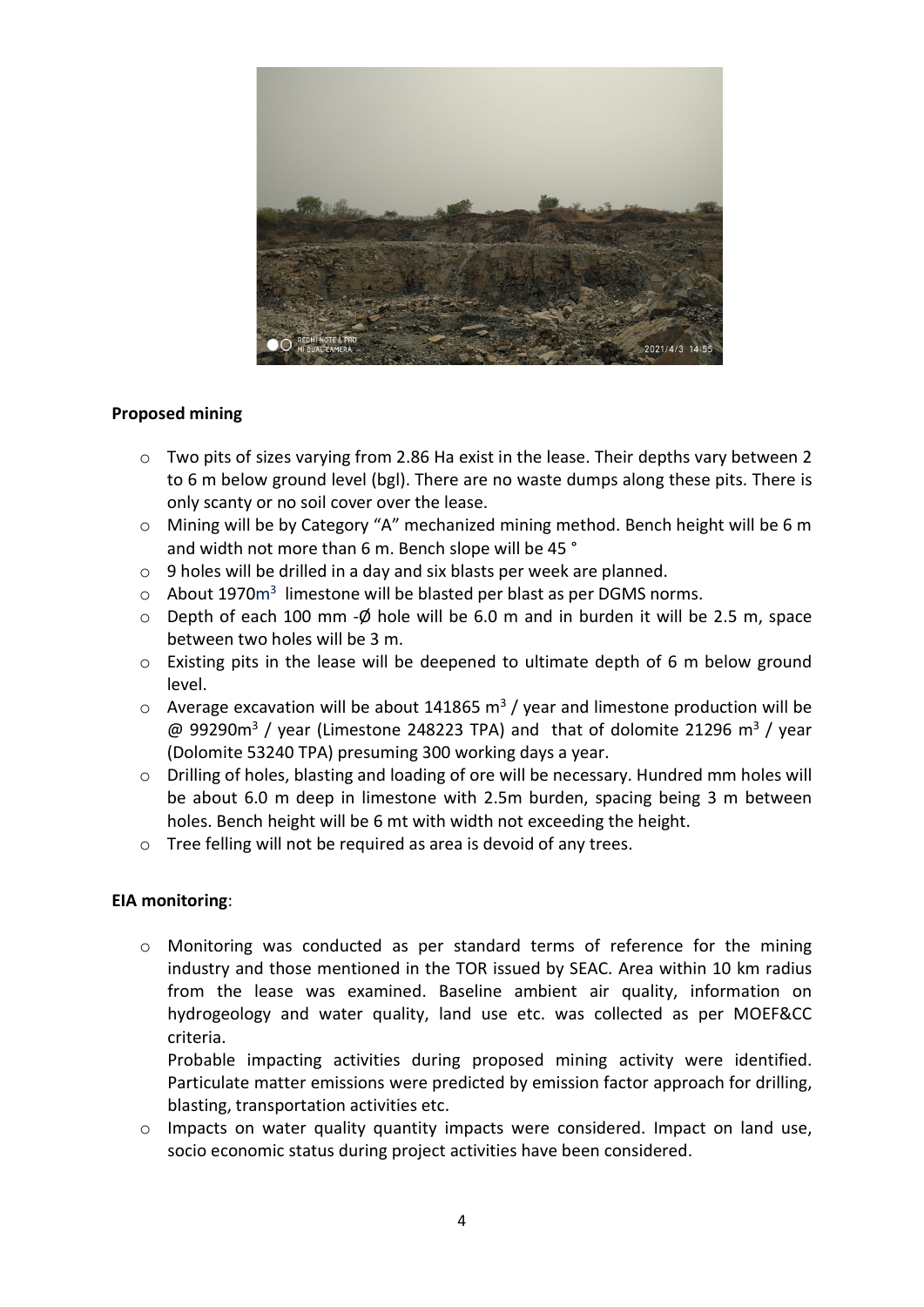

## Proposed mining

- $\circ$  Two pits of sizes varying from 2.86 Ha exist in the lease. Their depths vary between 2 to 6 m below ground level (bgl). There are no waste dumps along these pits. There is only scanty or no soil cover over the lease.
- o Mining will be by Category "A" mechanized mining method. Bench height will be 6 m and width not more than 6 m. Bench slope will be 45 °
- o 9 holes will be drilled in a day and six blasts per week are planned.
- $\circ$  About 1970 $m<sup>3</sup>$  limestone will be blasted per blast as per DGMS norms.
- $\circ$  Depth of each 100 mm - $\phi$  hole will be 6.0 m and in burden it will be 2.5 m, space between two holes will be 3 m.
- o Existing pits in the lease will be deepened to ultimate depth of 6 m below ground level.
- $\circ$  Average excavation will be about 141865 m<sup>3</sup> / year and limestone production will be  $\omega$  99290m<sup>3</sup> / year (Limestone 248223 TPA) and that of dolomite 21296 m<sup>3</sup> / year (Dolomite 53240 TPA) presuming 300 working days a year.
- o Drilling of holes, blasting and loading of ore will be necessary. Hundred mm holes will be about 6.0 m deep in limestone with 2.5m burden, spacing being 3 m between holes. Bench height will be 6 mt with width not exceeding the height.
- o Tree felling will not be required as area is devoid of any trees.

#### EIA monitoring:

o Monitoring was conducted as per standard terms of reference for the mining industry and those mentioned in the TOR issued by SEAC. Area within 10 km radius from the lease was examined. Baseline ambient air quality, information on hydrogeology and water quality, land use etc. was collected as per MOEF&CC criteria.

Probable impacting activities during proposed mining activity were identified. Particulate matter emissions were predicted by emission factor approach for drilling, blasting, transportation activities etc.

o Impacts on water quality quantity impacts were considered. Impact on land use, socio economic status during project activities have been considered.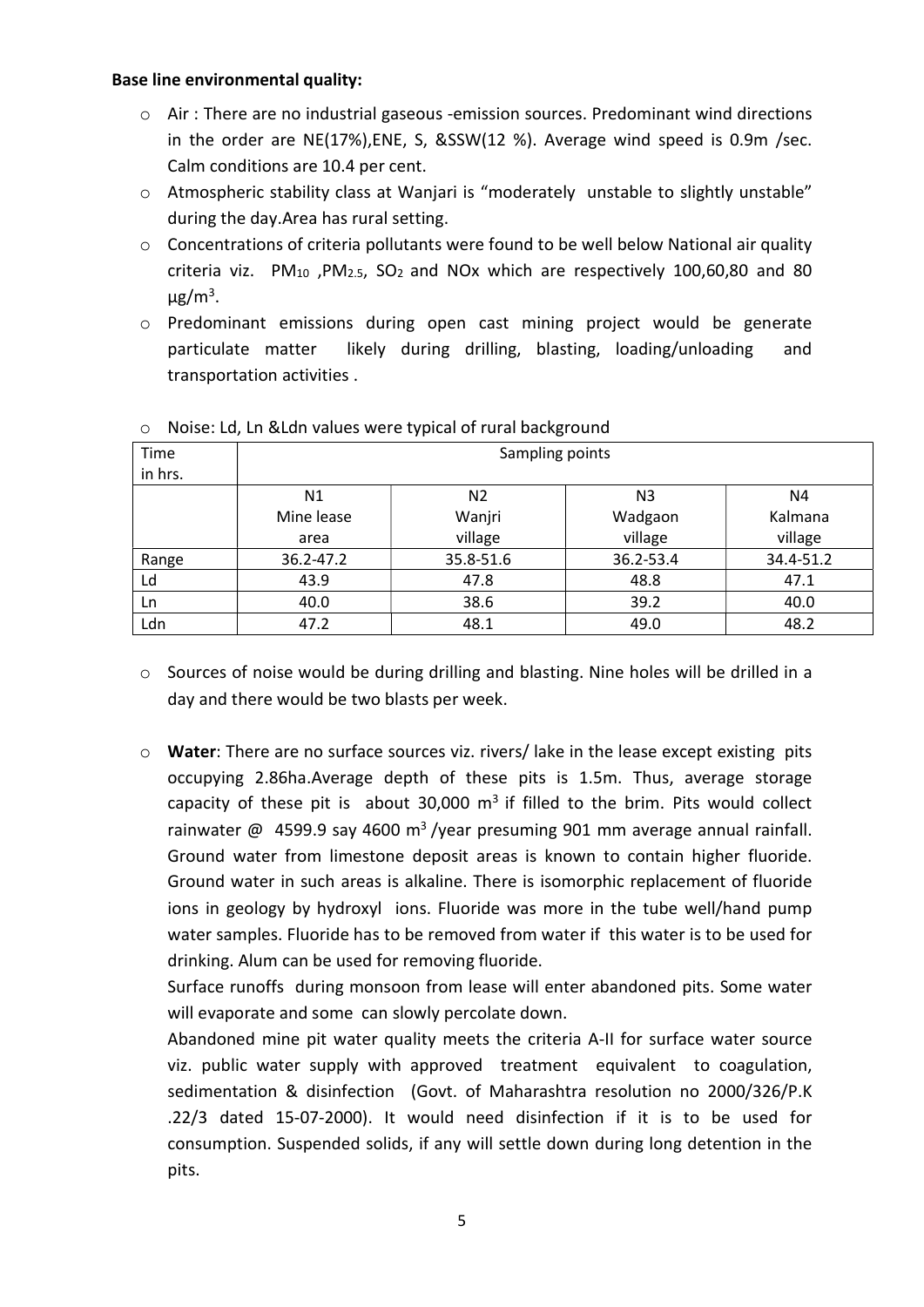#### Base line environmental quality:

- $\circ$  Air: There are no industrial gaseous -emission sources. Predominant wind directions in the order are NE(17%), ENE, S, & SSW(12 %). Average wind speed is 0.9m /sec. Calm conditions are 10.4 per cent.
- o Atmospheric stability class at Wanjari is "moderately unstable to slightly unstable" during the day.Area has rural setting.
- $\circ$  Concentrations of criteria pollutants were found to be well below National air quality criteria viz.  $PM_{10}$ ,  $PM_{2.5}$ ,  $SO_2$  and NOx which are respectively 100,60,80 and 80  $\mu$ g/m<sup>3</sup>.
- o Predominant emissions during open cast mining project would be generate particulate matter likely during drilling, blasting, loading/unloading and transportation activities .

| Time    | Sampling points |                |                |           |
|---------|-----------------|----------------|----------------|-----------|
| in hrs. |                 |                |                |           |
|         | N1              | N <sub>2</sub> | N <sub>3</sub> | Ν4        |
|         | Mine lease      | Wanjri         | Wadgaon        | Kalmana   |
|         | area            | village        | village        | village   |
| Range   | 36.2-47.2       | 35.8-51.6      | 36.2-53.4      | 34.4-51.2 |
| Ld      | 43.9            | 47.8           | 48.8           | 47.1      |
| Ln      | 40.0            | 38.6           | 39.2           | 40.0      |
| Ldn     | 47.2            | 48.1           | 49.0           | 48.2      |

## o Noise: Ld, Ln &Ldn values were typical of rural background

- $\circ$  Sources of noise would be during drilling and blasting. Nine holes will be drilled in a day and there would be two blasts per week.
- o Water: There are no surface sources viz. rivers/ lake in the lease except existing pits occupying 2.86ha.Average depth of these pits is 1.5m. Thus, average storage capacity of these pit is about 30,000  $m<sup>3</sup>$  if filled to the brim. Pits would collect rainwater  $\omega$  4599.9 say 4600 m<sup>3</sup>/year presuming 901 mm average annual rainfall. Ground water from limestone deposit areas is known to contain higher fluoride. Ground water in such areas is alkaline. There is isomorphic replacement of fluoride ions in geology by hydroxyl ions. Fluoride was more in the tube well/hand pump water samples. Fluoride has to be removed from water if this water is to be used for drinking. Alum can be used for removing fluoride.

Surface runoffs during monsoon from lease will enter abandoned pits. Some water will evaporate and some can slowly percolate down.

Abandoned mine pit water quality meets the criteria A-II for surface water source viz. public water supply with approved treatment equivalent to coagulation, sedimentation & disinfection (Govt. of Maharashtra resolution no 2000/326/P.K .22/3 dated 15-07-2000). It would need disinfection if it is to be used for consumption. Suspended solids, if any will settle down during long detention in the pits.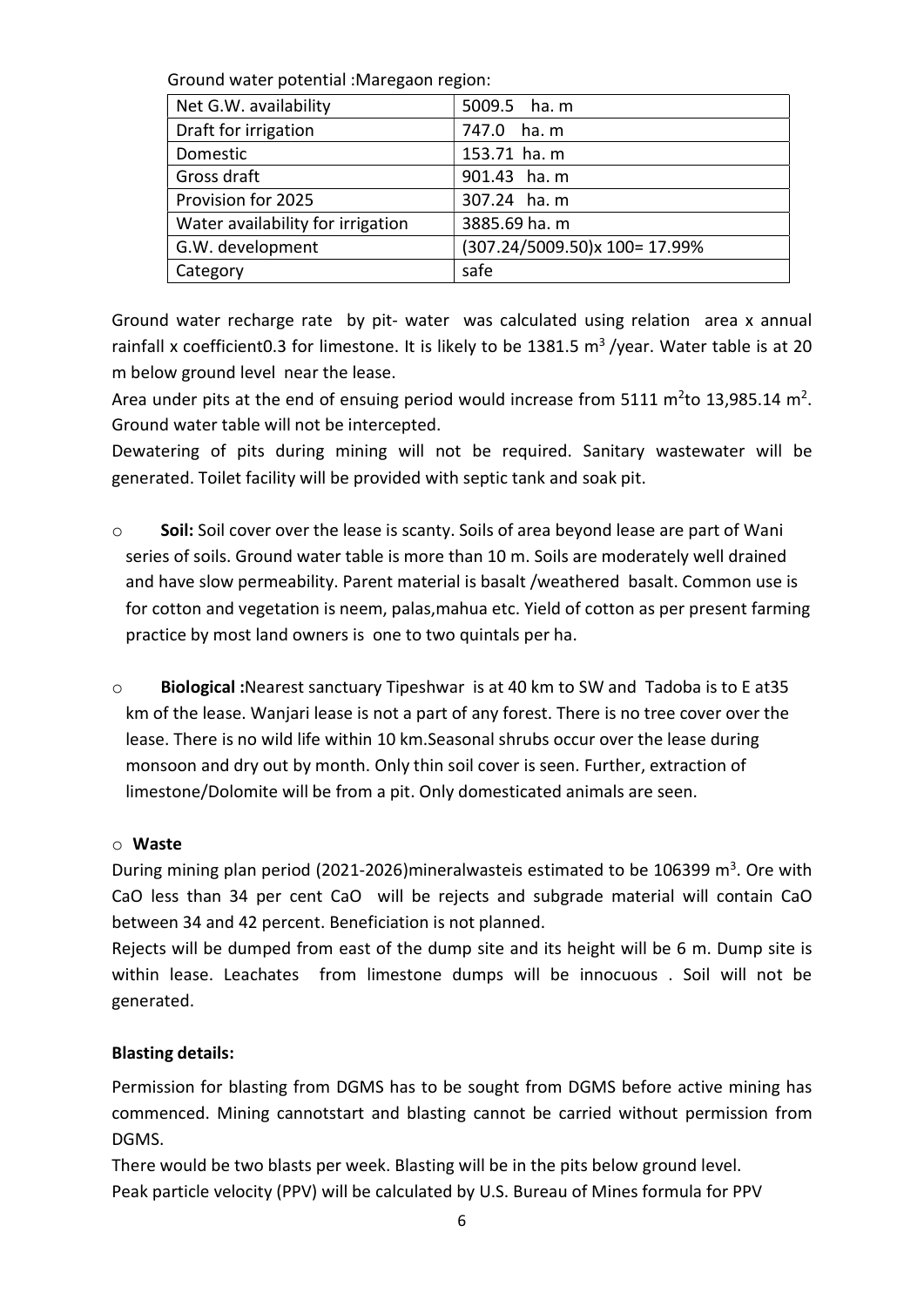Ground water potential :Maregaon region:

| Net G.W. availability             | 5009.5 ha. m                  |
|-----------------------------------|-------------------------------|
| Draft for irrigation              | 747.0 ha. m                   |
| Domestic                          | 153.71 ha. m                  |
| Gross draft                       | 901.43 ha. m                  |
| Provision for 2025                | 307.24 ha. m                  |
| Water availability for irrigation | 3885.69 ha. m                 |
| G.W. development                  | (307.24/5009.50)x 100= 17.99% |
| Category                          | safe                          |

Ground water recharge rate by pit- water was calculated using relation area x annual rainfall x coefficient 0.3 for limestone. It is likely to be 1381.5  $\text{m}^3$  /year. Water table is at 20 m below ground level near the lease.

Area under pits at the end of ensuing period would increase from 5111  $m<sup>2</sup>$ to 13,985.14 m<sup>2</sup>. Ground water table will not be intercepted.

Dewatering of pits during mining will not be required. Sanitary wastewater will be generated. Toilet facility will be provided with septic tank and soak pit.

- $\circ$  Soil: Soil cover over the lease is scanty. Soils of area beyond lease are part of Wani series of soils. Ground water table is more than 10 m. Soils are moderately well drained and have slow permeability. Parent material is basalt /weathered basalt. Common use is for cotton and vegetation is neem, palas,mahua etc. Yield of cotton as per present farming practice by most land owners is one to two quintals per ha.
- o Biological :Nearest sanctuary Tipeshwar is at 40 km to SW and Tadoba is to E at35 km of the lease. Wanjari lease is not a part of any forest. There is no tree cover over the lease. There is no wild life within 10 km.Seasonal shrubs occur over the lease during monsoon and dry out by month. Only thin soil cover is seen. Further, extraction of limestone/Dolomite will be from a pit. Only domesticated animals are seen.

## o Waste

During mining plan period (2021-2026)mineralwasteis estimated to be 106399 m<sup>3</sup>. Ore with CaO less than 34 per cent CaO will be rejects and subgrade material will contain CaO between 34 and 42 percent. Beneficiation is not planned.

Rejects will be dumped from east of the dump site and its height will be 6 m. Dump site is within lease. Leachates from limestone dumps will be innocuous . Soil will not be generated.

## Blasting details:

Permission for blasting from DGMS has to be sought from DGMS before active mining has commenced. Mining cannotstart and blasting cannot be carried without permission from DGMS.

There would be two blasts per week. Blasting will be in the pits below ground level. Peak particle velocity (PPV) will be calculated by U.S. Bureau of Mines formula for PPV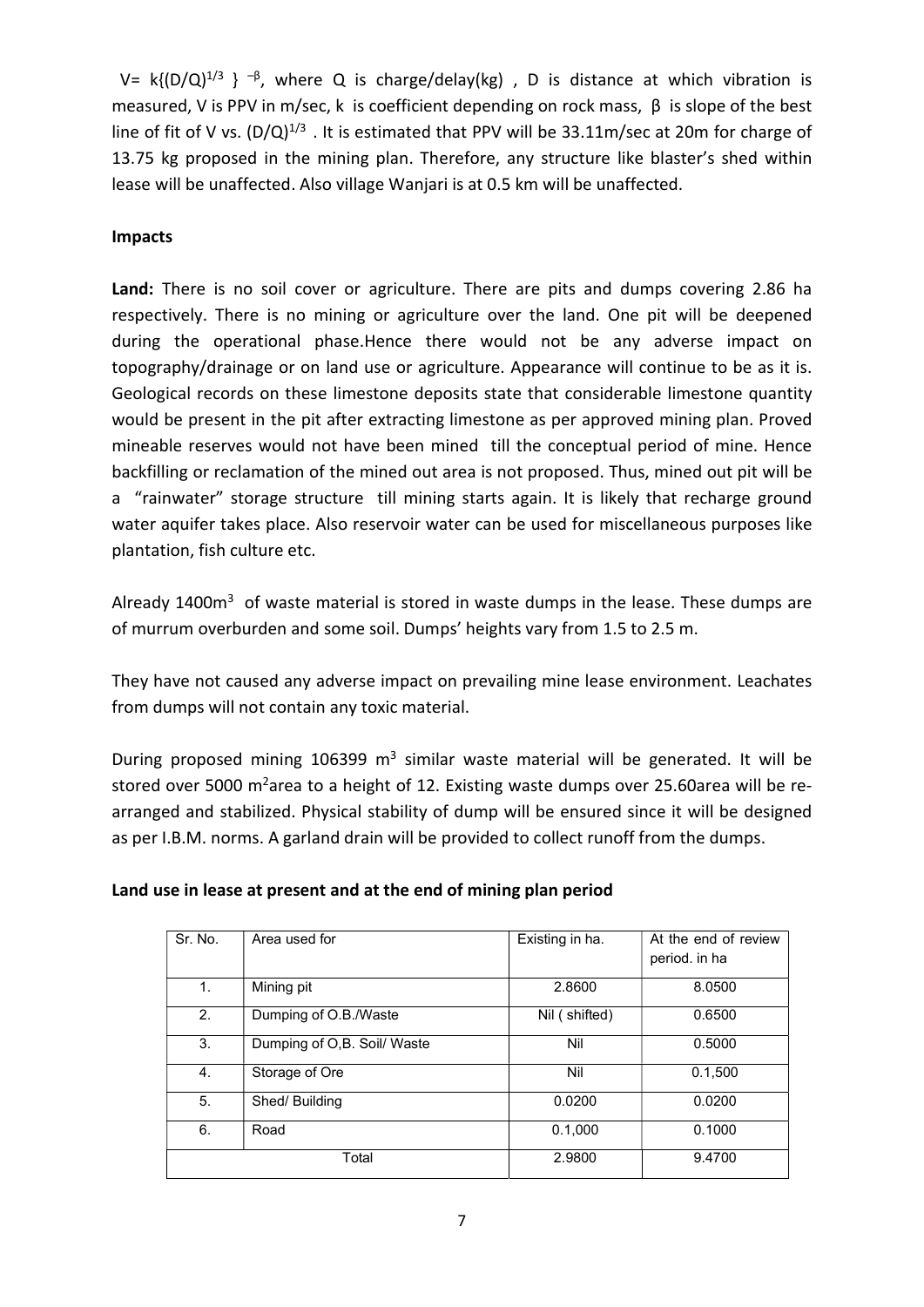V= k{ $(D/Q)^{1/3}$  }  $^{-\beta}$ , where Q is charge/delay(kg), D is distance at which vibration is measured, V is PPV in m/sec, k is coefficient depending on rock mass, β is slope of the best line of fit of V vs.  $(D/Q)^{1/3}$ . It is estimated that PPV will be 33.11m/sec at 20m for charge of 13.75 kg proposed in the mining plan. Therefore, any structure like blaster's shed within lease will be unaffected. Also village Wanjari is at 0.5 km will be unaffected.

## Impacts

Land: There is no soil cover or agriculture. There are pits and dumps covering 2.86 ha respectively. There is no mining or agriculture over the land. One pit will be deepened during the operational phase.Hence there would not be any adverse impact on topography/drainage or on land use or agriculture. Appearance will continue to be as it is. Geological records on these limestone deposits state that considerable limestone quantity would be present in the pit after extracting limestone as per approved mining plan. Proved mineable reserves would not have been mined till the conceptual period of mine. Hence backfilling or reclamation of the mined out area is not proposed. Thus, mined out pit will be a "rainwater" storage structure till mining starts again. It is likely that recharge ground water aquifer takes place. Also reservoir water can be used for miscellaneous purposes like plantation, fish culture etc.

Already 1400 $m<sup>3</sup>$  of waste material is stored in waste dumps in the lease. These dumps are of murrum overburden and some soil. Dumps' heights vary from 1.5 to 2.5 m.

They have not caused any adverse impact on prevailing mine lease environment. Leachates from dumps will not contain any toxic material.

During proposed mining 106399 m<sup>3</sup> similar waste material will be generated. It will be stored over 5000 m<sup>2</sup>area to a height of 12. Existing waste dumps over 25.60area will be rearranged and stabilized. Physical stability of dump will be ensured since it will be designed as per I.B.M. norms. A garland drain will be provided to collect runoff from the dumps.

| Sr. No.     | Area used for               | Existing in ha. | At the end of review<br>period. in ha |
|-------------|-----------------------------|-----------------|---------------------------------------|
| $1_{\cdot}$ | Mining pit                  | 2.8600          | 8.0500                                |
| 2.          | Dumping of O.B./Waste       | Nil (shifted)   | 0.6500                                |
| 3.          | Dumping of O,B. Soil/ Waste | Nil             | 0.5000                                |
| 4.          | Storage of Ore              | Nil             | 0.1,500                               |
| 5.          | Shed/Building               | 0.0200          | 0.0200                                |
| 6.          | Road                        | 0.1,000         | 0.1000                                |
|             | Total                       | 2.9800          | 9.4700                                |

#### Land use in lease at present and at the end of mining plan period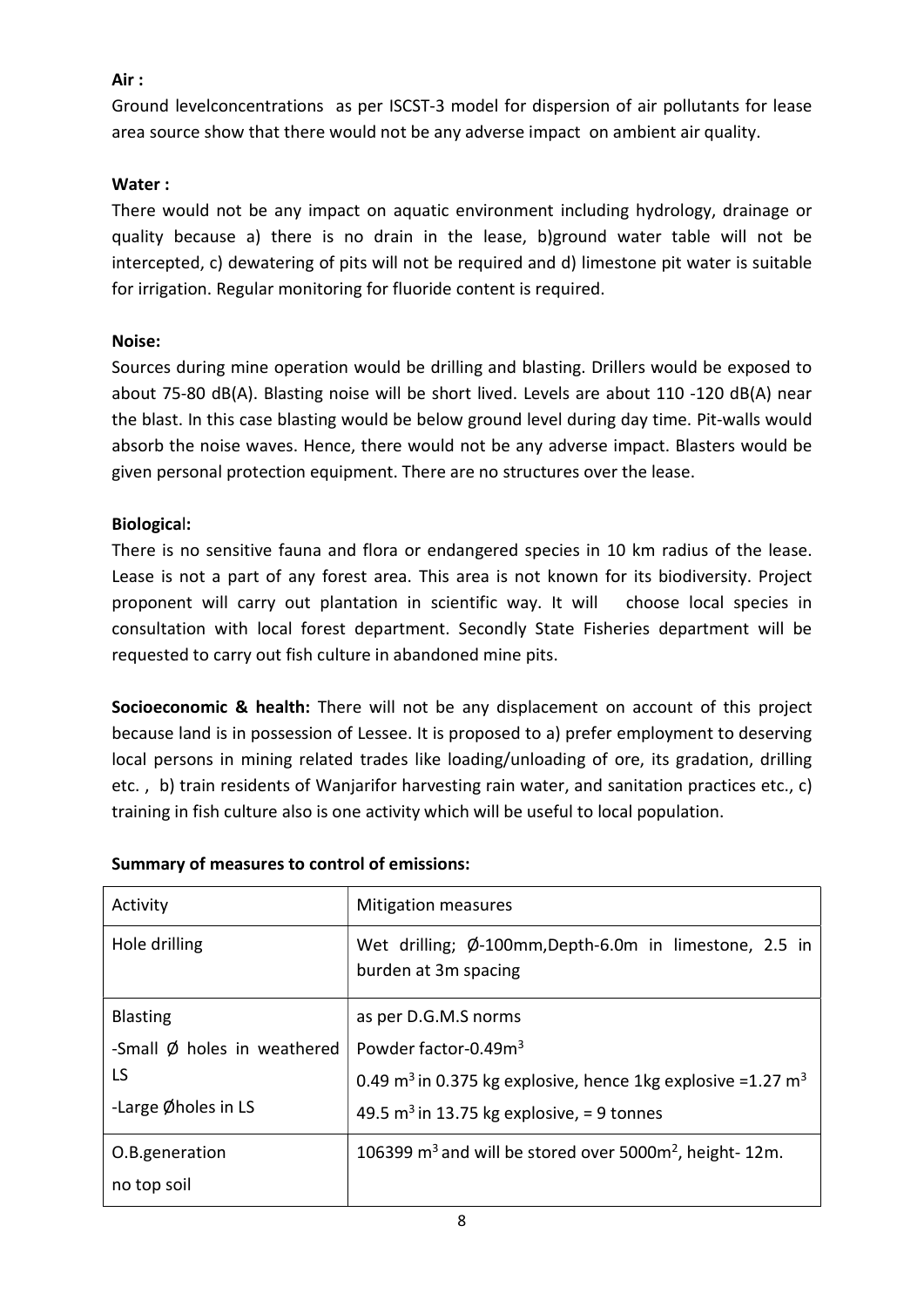## Air :

Ground levelconcentrations as per ISCST-3 model for dispersion of air pollutants for lease area source show that there would not be any adverse impact on ambient air quality.

## Water :

There would not be any impact on aquatic environment including hydrology, drainage or quality because a) there is no drain in the lease, b)ground water table will not be intercepted, c) dewatering of pits will not be required and d) limestone pit water is suitable for irrigation. Regular monitoring for fluoride content is required.

## Noise:

Sources during mine operation would be drilling and blasting. Drillers would be exposed to about 75-80 dB(A). Blasting noise will be short lived. Levels are about 110 -120 dB(A) near the blast. In this case blasting would be below ground level during day time. Pit-walls would absorb the noise waves. Hence, there would not be any adverse impact. Blasters would be given personal protection equipment. There are no structures over the lease.

## Biological:

There is no sensitive fauna and flora or endangered species in 10 km radius of the lease. Lease is not a part of any forest area. This area is not known for its biodiversity. Project proponent will carry out plantation in scientific way. It will choose local species in consultation with local forest department. Secondly State Fisheries department will be requested to carry out fish culture in abandoned mine pits.

Socioeconomic & health: There will not be any displacement on account of this project because land is in possession of Lessee. It is proposed to a) prefer employment to deserving local persons in mining related trades like loading/unloading of ore, its gradation, drilling etc. , b) train residents of Wanjarifor harvesting rain water, and sanitation practices etc., c) training in fish culture also is one activity which will be useful to local population.

| Activity                              | <b>Mitigation measures</b>                                                          |
|---------------------------------------|-------------------------------------------------------------------------------------|
| Hole drilling                         | Wet drilling; Ø-100mm, Depth-6.0m in limestone, 2.5 in<br>burden at 3m spacing      |
| <b>Blasting</b>                       | as per D.G.M.S norms                                                                |
| -Small $\emptyset$ holes in weathered | Powder factor-0.49m <sup>3</sup>                                                    |
| LS                                    | 0.49 m <sup>3</sup> in 0.375 kg explosive, hence 1kg explosive =1.27 m <sup>3</sup> |
| -Large Øholes in LS                   | 49.5 m <sup>3</sup> in 13.75 kg explosive, = 9 tonnes                               |
| O.B.generation                        | 106399 $m^3$ and will be stored over 5000 $m^2$ , height-12m.                       |
| no top soil                           |                                                                                     |

## Summary of measures to control of emissions: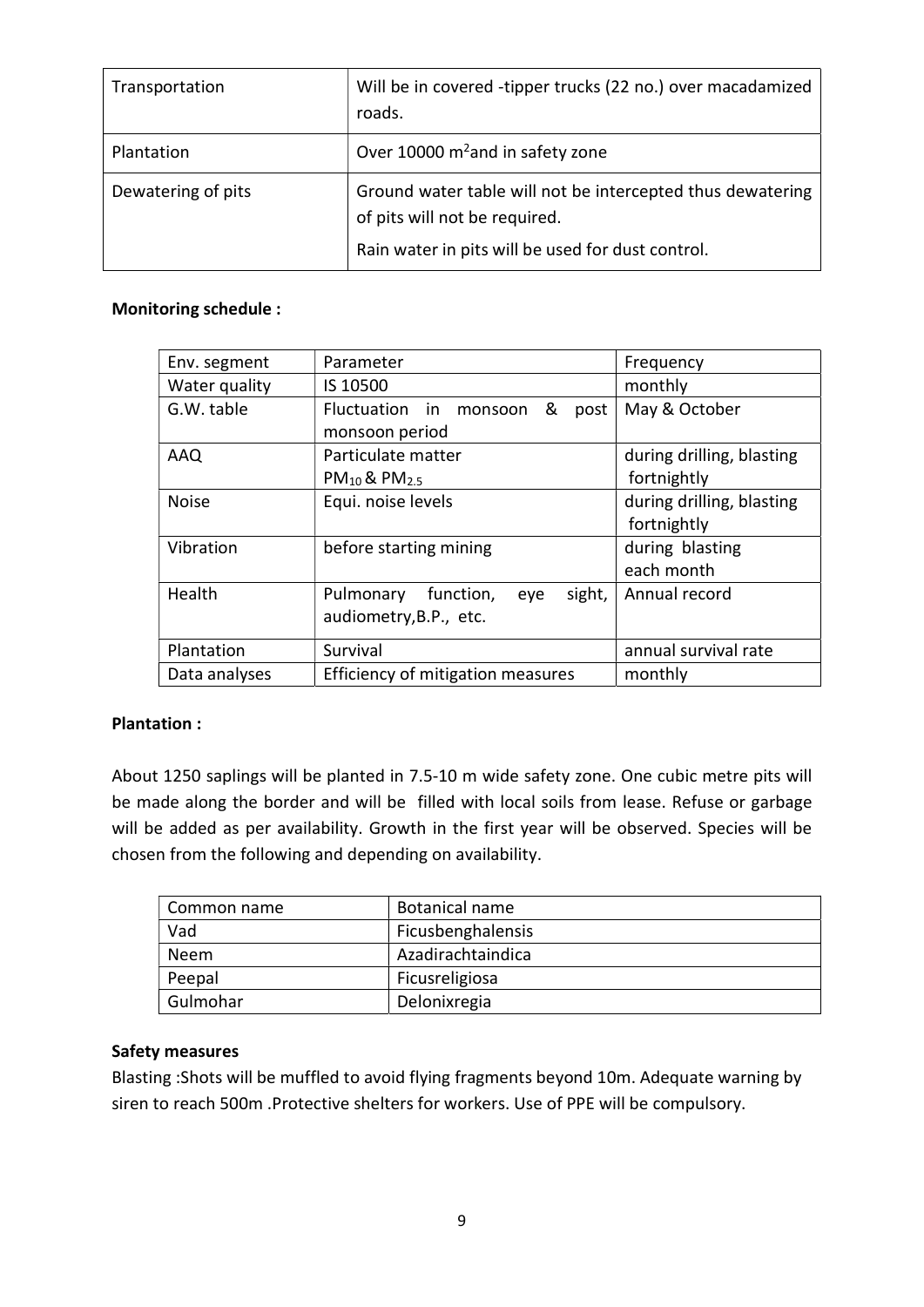| Transportation     | Will be in covered -tipper trucks (22 no.) over macadamized<br>roads.                                                                            |
|--------------------|--------------------------------------------------------------------------------------------------------------------------------------------------|
| Plantation         | Over 10000 m <sup>2</sup> and in safety zone                                                                                                     |
| Dewatering of pits | Ground water table will not be intercepted thus dewatering<br>of pits will not be required.<br>Rain water in pits will be used for dust control. |

## Monitoring schedule :

| Env. segment  | Parameter                               | Frequency                 |
|---------------|-----------------------------------------|---------------------------|
| Water quality | IS 10500                                | monthly                   |
| G.W. table    | Fluctuation in<br>&<br>monsoon<br>post  | May & October             |
|               | monsoon period                          |                           |
| AAQ           | Particulate matter                      | during drilling, blasting |
|               | $PM_{10}$ & PM <sub>2.5</sub>           | fortnightly               |
| <b>Noise</b>  | Equi. noise levels                      | during drilling, blasting |
|               |                                         | fortnightly               |
| Vibration     | before starting mining                  | during blasting           |
|               |                                         | each month                |
| Health        | sight,<br>function,<br>Pulmonary<br>eye | Annual record             |
|               | audiometry, B.P., etc.                  |                           |
| Plantation    | Survival                                | annual survival rate      |
|               |                                         |                           |
| Data analyses | Efficiency of mitigation measures       | monthly                   |

## Plantation :

About 1250 saplings will be planted in 7.5-10 m wide safety zone. One cubic metre pits will be made along the border and will be filled with local soils from lease. Refuse or garbage will be added as per availability. Growth in the first year will be observed. Species will be chosen from the following and depending on availability.

| Common name | Botanical name    |
|-------------|-------------------|
| Vad         | Ficusbenghalensis |
| Neem        | Azadirachtaindica |
| Peepal      | Ficusreligiosa    |
| Gulmohar    | Delonixregia      |

#### Safety measures

Blasting :Shots will be muffled to avoid flying fragments beyond 10m. Adequate warning by siren to reach 500m .Protective shelters for workers. Use of PPE will be compulsory.